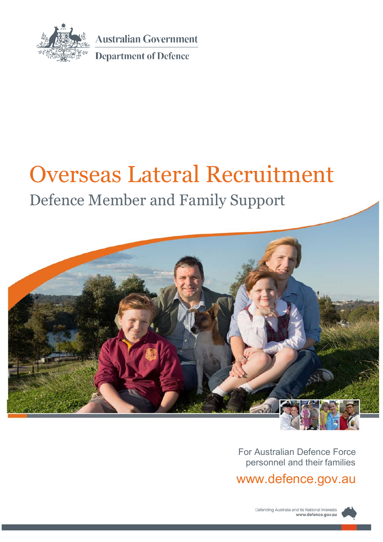

**Australian Government** 

**Department of Defence** 

# Overseas Lateral Recruitment

## Defence Member and Family Support



For Australian Defence Force personnel and their families

[www.defence.gov.au](http://www.defence.gov.au/)

Defending Australia and its National Interests www.defence.gov.au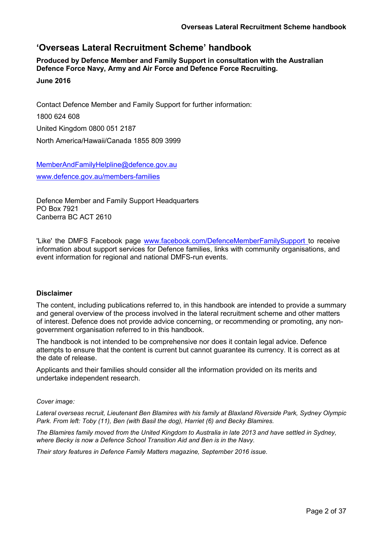### **'Overseas Lateral Recruitment Scheme' handbook**

**Produced by Defence Member and Family Support in consultation with the Australian Defence Force Navy, Army and Air Force and Defence Force Recruiting.**

#### **June 2016**

Contact Defence Member and Family Support for further information: 1800 624 608 United Kingdom 0800 051 2187 North America/Hawaii/Canada 1855 809 3999

[MemberAndFamilyHelpline@defence.gov.au](mailto:MemberAndFamilyHelpline@defence.gov.au) [www.defence.gov.au/m](http://www.defence.gov.au/)embers-families

Defence Member and Family Support Headquarters PO Box 7921 Canberra BC ACT 2610

'Like' the DMFS Facebook page [www.facebook.com/DefenceMemberFamilySupport](http://www.facebook.com/DefenceMemberFamilySupport) to receive information about support services for Defence families, links with community organisations, and event information for regional and national DMFS-run events.

#### **Disclaimer**

The content, including publications referred to, in this handbook are intended to provide a summary and general overview of the process involved in the lateral recruitment scheme and other matters of interest. Defence does not provide advice concerning, or recommending or promoting, any nongovernment organisation referred to in this handbook.

The handbook is not intended to be comprehensive nor does it contain legal advice. Defence attempts to ensure that the content is current but cannot guarantee its currency. It is correct as at the date of release.

Applicants and their families should consider all the information provided on its merits and undertake independent research.

#### *Cover image:*

*Lateral overseas recruit, Lieutenant Ben Blamires with his family at Blaxland Riverside Park, Sydney Olympic Park. From left: Toby (11), Ben (with Basil the dog), Harriet (6) and Becky Blamires.*

*The Blamires family moved from the United Kingdom to Australia in late 2013 and have settled in Sydney, where Becky is now a Defence School Transition Aid and Ben is in the Navy.*

*Their story features in [Defence Family Matters m](http://www.defence.gov.au/dco/dfm/)agazine, September 2016 issue.*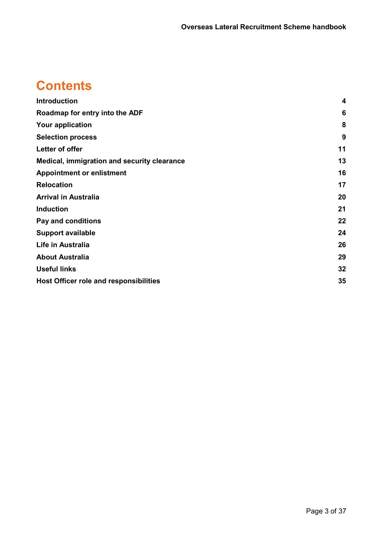## **Contents**

| <b>Introduction</b>                           | 4  |
|-----------------------------------------------|----|
| Roadmap for entry into the ADF                | 6  |
| <b>Your application</b>                       | 8  |
| <b>Selection process</b>                      | 9  |
| Letter of offer                               | 11 |
| Medical, immigration and security clearance   | 13 |
| <b>Appointment or enlistment</b>              | 16 |
| <b>Relocation</b>                             | 17 |
| <b>Arrival in Australia</b>                   | 20 |
| <b>Induction</b>                              | 21 |
| Pay and conditions                            | 22 |
| <b>Support available</b>                      | 24 |
| Life in Australia                             | 26 |
| <b>About Australia</b>                        | 29 |
| <b>Useful links</b>                           | 32 |
| <b>Host Officer role and responsibilities</b> | 35 |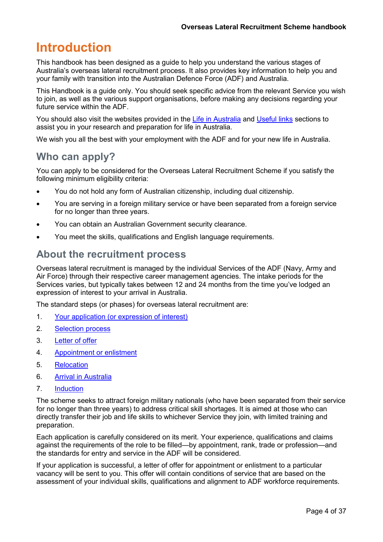## <span id="page-3-0"></span>**Introduction**

This handbook has been designed as a guide to help you understand the various stages of Australia's overseas lateral recruitment process. It also provides key information to help you and your family with transition into the Australian Defence Force (ADF) and Australia.

This Handbook is a guide only. You should seek specific advice from the relevant Service you wish to join, as well as the various support organisations, before making any decisions regarding your future service within the ADF.

You should also visit the websites provided in the [Life in Australia](#page-25-0) and [Useful links](#page-31-0) sections to assist you in your research and preparation for life in Australia.

We wish you all the best with your employment with the ADF and for your new life in Australia.

### **Who can apply?**

You can apply to be considered for the Overseas Lateral Recruitment Scheme if you satisfy the following minimum eligibility criteria:

- You do not hold any form of Australian citizenship, including dual citizenship.
- You are serving in a foreign military service or have been separated from a foreign service for no longer than three years.
- You can obtain an Australian Government security clearance.
- You meet the skills, qualifications and English language requirements.

### **About the recruitment process**

Overseas lateral recruitment is managed by the individual Services of the ADF (Navy, Army and Air Force) through their respective career management agencies. The intake periods for the Services varies, but typically takes between 12 and 24 months from the time you've lodged an expression of interest to your arrival in Australia.

The standard steps (or phases) for overseas lateral recruitment are:

- 1. [Your application \(or expression of](#page-7-0) interest)
- 2. [Selection](#page-8-0) process
- 3. [Letter of](#page-10-0) offer
- 4. [Appointment or](#page-15-0) enlistment
- 5. [Relocation](#page-16-0)
- 6. Arrival in [Australia](#page-19-0)
- 7. [Induction](#page-20-0)

The scheme seeks to attract foreign military nationals (who have been separated from their service for no longer than three years) to address critical skill shortages. It is aimed at those who can directly transfer their job and life skills to whichever Service they join, with limited training and preparation.

Each application is carefully considered on its merit. Your experience, qualifications and claims against the requirements of the role to be filled—by appointment, rank, trade or profession—and the standards for entry and service in the ADF will be considered.

If your application is successful, a letter of offer for appointment or enlistment to a particular vacancy will be sent to you. This offer will contain conditions of service that are based on the assessment of your individual skills, qualifications and alignment to ADF workforce requirements.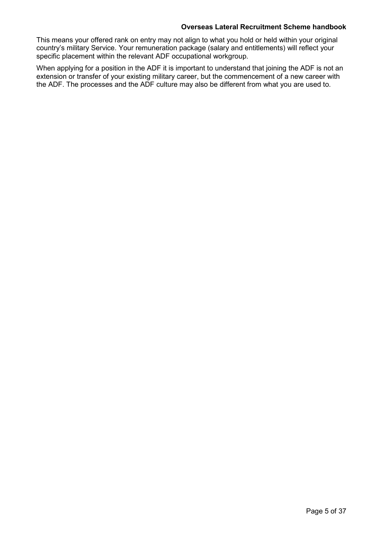#### **Overseas Lateral Recruitment Scheme handbook**

This means your offered rank on entry may not align to what you hold or held within your original country's military Service. Your remuneration package (salary and entitlements) will reflect your specific placement within the relevant ADF occupational workgroup.

When applying for a position in the ADF it is important to understand that joining the ADF is not an extension or transfer of your existing military career, but the commencement of a new career with the ADF. The processes and the ADF culture may also be different from what you are used to.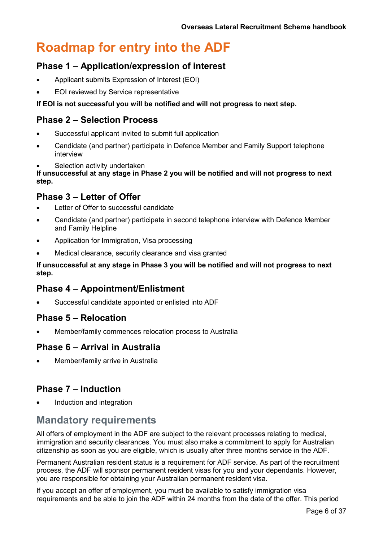## <span id="page-5-0"></span>**Roadmap for entry into the ADF**

### **Phase 1 – Application/expression of interest**

- Applicant submits Expression of Interest (EOI)
- EOI reviewed by Service representative

#### **If EOI is not successful you will be notified and will not progress to next step.**

### **Phase 2 – Selection Process**

- Successful applicant invited to submit full application
- Candidate (and partner) participate in Defence Member and Family Support telephone interview
- Selection activity undertaken

**If unsuccessful at any stage in Phase 2 you will be notified and will not progress to next step.**

### **Phase 3 – Letter of Offer**

- Letter of Offer to successful candidate
- Candidate (and partner) participate in second telephone interview with Defence Member and Family Helpline
- Application for Immigration, Visa processing
- Medical clearance, security clearance and visa granted

#### **If unsuccessful at any stage in Phase 3 you will be notified and will not progress to next step.**

### **Phase 4 – Appointment/Enlistment**

Successful candidate appointed or enlisted into ADF

### **Phase 5 – Relocation**

• Member/family commences relocation process to Australia

### **Phase 6 – Arrival in Australia**

• Member/family arrive in Australia

### **Phase 7 – Induction**

• Induction and integration

### **Mandatory requirements**

All offers of employment in the ADF are subject to the relevant processes relating to medical, immigration and security clearances. You must also make a commitment to apply for Australian citizenship as soon as you are eligible, which is usually after three months service in the ADF.

Permanent Australian resident status is a requirement for ADF service. As part of the recruitment process, the ADF will sponsor permanent resident visas for you and your dependants. However, you are responsible for obtaining your Australian permanent resident visa.

If you accept an offer of employment, you must be available to satisfy immigration visa requirements and be able to join the ADF within 24 months from the date of the offer. This period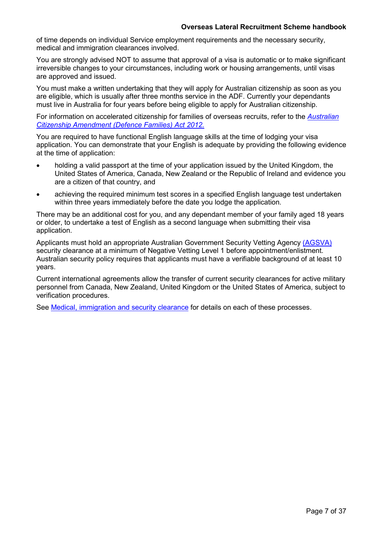of time depends on individual Service employment requirements and the necessary security, medical and immigration clearances involved.

You are strongly advised NOT to assume that approval of a visa is automatic or to make significant irreversible changes to your circumstances, including work or housing arrangements, until visas are approved and issued.

You must make a written undertaking that they will apply for Australian citizenship as soon as you are eligible, which is usually after three months service in the ADF. Currently your dependants must live in Australia for four years before being eligible to apply for Australian citizenship.

For information on accelerated citizenship for families of overseas recruits, refer to the *[Australian](https://www.comlaw.gov.au/Details/C2012A00119) [Citizenship Amendment \(Defence Families\) Act 2012.](https://www.comlaw.gov.au/Details/C2012A00119)*

You are required to have functional English language skills at the time of lodging your visa application. You can demonstrate that your English is adequate by providing the following evidence at the time of application:

- holding a valid passport at the time of your application issued by the United Kingdom, the United States of America, Canada, New Zealand or the Republic of Ireland and evidence you are a citizen of that country, and
- achieving the required minimum test scores in a specified English language test undertaken within three years immediately before the date you lodge the application.

There may be an additional cost for you, and any dependant member of your family aged 18 years or older, to undertake a test of English as a second language when submitting their visa application.

Applicants must hold an appropriate Australian Government Security Vetting Agency [\(AGSVA\)](http://www.defence.gov.au/AGSVA/resources.asp) security clearance at a minimum of Negative Vetting Level 1 before appointment/enlistment. Australian security policy requires that applicants must have a verifiable background of at least 10 years.

Current international agreements allow the transfer of current security clearances for active military personnel from Canada, New Zealand, United Kingdom or the United States of America, subject to verification procedures.

See [Medical, immigration and security clearance](#page-12-0) for details on each of these processes.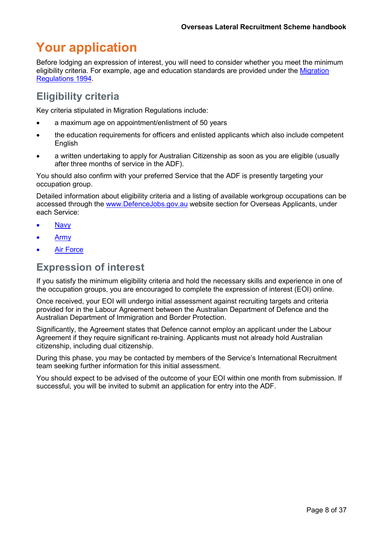## <span id="page-7-0"></span>**Your application**

Before lodging an expression of interest, you will need to consider whether you meet the minimum eligibility criteria. For example, age and education standards are provided under the [Migration](https://www.legislation.gov.au/Details/F2012C00493/Html/Volume_5) [Regulations 1994.](https://www.legislation.gov.au/Details/F2012C00493/Html/Volume_5)

## **Eligibility criteria**

Key criteria stipulated in Migration Regulations include:

- a maximum age on appointment/enlistment of 50 years
- the education requirements for officers and enlisted applicants which also include competent English
- a written undertaking to apply for Australian Citizenship as soon as you are eligible (usually after three months of service in the ADF).

You should also confirm with your preferred Service that the ADF is presently targeting your occupation group.

Detailed information about eligibility criteria and a listing of available workgroup occupations can be accessed through the [www.DefenceJobs.gov.au](http://www.defencejobs.gov.au/) website section for Overseas Applicants, under each Service:

- **[Navy](http://www.defencejobs.gov.au/recruitment-centre/can-i-join/citizenship/navy/)**
- [Army](http://www.defencejobs.gov.au/recruitment-centre/can-i-join/citizenship/army/)
- **Air [Force](http://www.defencejobs.gov.au/recruitment-centre/can-i-join/citizenship/airforce/)**

### **Expression of interest**

If you satisfy the minimum eligibility criteria and hold the necessary skills and experience in one of the occupation groups, you are encouraged to complete the expression of interest (EOI) online.

Once received, your EOI will undergo initial assessment against recruiting targets and criteria provided for in the Labour Agreement between the Australian Department of Defence and the Australian Department of Immigration and Border Protection.

Significantly, the Agreement states that Defence cannot employ an applicant under the Labour Agreement if they require significant re-training. Applicants must not already hold Australian citizenship, including dual citizenship.

During this phase, you may be contacted by members of the Service's International Recruitment team seeking further information for this initial assessment.

You should expect to be advised of the outcome of your EOI within one month from submission. If successful, you will be invited to submit an application for entry into the ADF.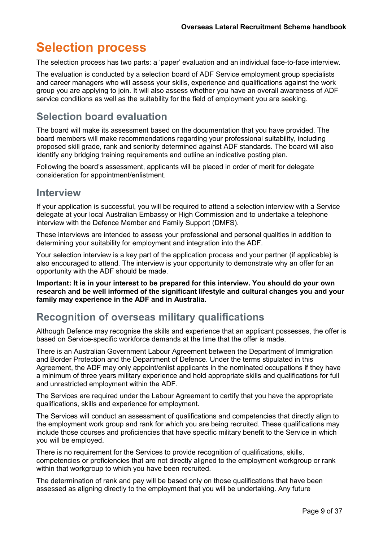## <span id="page-8-0"></span>**Selection process**

The selection process has two parts: a 'paper' evaluation and an individual face-to-face interview.

The evaluation is conducted by a selection board of ADF Service employment group specialists and career managers who will assess your skills, experience and qualifications against the work group you are applying to join. It will also assess whether you have an overall awareness of ADF service conditions as well as the suitability for the field of employment you are seeking.

### **Selection board evaluation**

The board will make its assessment based on the documentation that you have provided. The board members will make recommendations regarding your professional suitability, including proposed skill grade, rank and seniority determined against ADF standards. The board will also identify any bridging training requirements and outline an indicative posting plan.

Following the board's assessment, applicants will be placed in order of merit for delegate consideration for appointment/enlistment.

### **Interview**

If your application is successful, you will be required to attend a selection interview with a Service delegate at your local Australian Embassy or High Commission and to undertake a telephone interview with the Defence Member and Family Support (DMFS).

These interviews are intended to assess your professional and personal qualities in addition to determining your suitability for employment and integration into the ADF.

Your selection interview is a key part of the application process and your partner (if applicable) is also encouraged to attend. The interview is your opportunity to demonstrate why an offer for an opportunity with the ADF should be made.

**Important: It is in your interest to be prepared for this interview. You should do your own research and be well informed of the significant lifestyle and cultural changes you and your family may experience in the ADF and in Australia.**

### **Recognition of overseas military qualifications**

Although Defence may recognise the skills and experience that an applicant possesses, the offer is based on Service-specific workforce demands at the time that the offer is made.

There is an Australian Government Labour Agreement between the Department of Immigration and Border Protection and the Department of Defence. Under the terms stipulated in this Agreement, the ADF may only appoint/enlist applicants in the nominated occupations if they have a minimum of three years military experience and hold appropriate skills and qualifications for full and unrestricted employment within the ADF.

The Services are required under the Labour Agreement to certify that you have the appropriate qualifications, skills and experience for employment.

The Services will conduct an assessment of qualifications and competencies that directly align to the employment work group and rank for which you are being recruited. These qualifications may include those courses and proficiencies that have specific military benefit to the Service in which you will be employed.

There is no requirement for the Services to provide recognition of qualifications, skills, competencies or proficiencies that are not directly aligned to the employment workgroup or rank within that workgroup to which you have been recruited.

The determination of rank and pay will be based only on those qualifications that have been assessed as aligning directly to the employment that you will be undertaking. Any future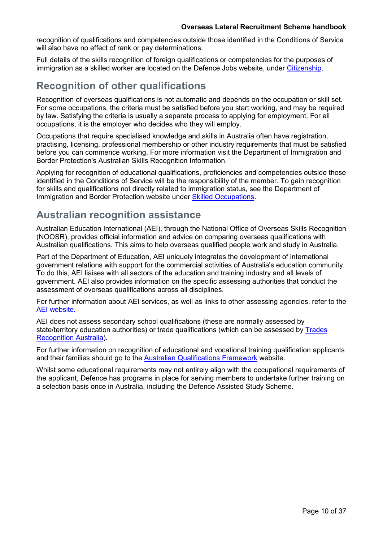#### **Overseas Lateral Recruitment Scheme handbook**

recognition of qualifications and competencies outside those identified in the Conditions of Service will also have no effect of rank or pay determinations.

Full details of the skills recognition of foreign qualifications or competencies for the purposes of immigration as a skilled worker are located on the Defence Jobs website, under [Citizenship.](http://www.defencejobs.gov.au/recruitment-centre/can-i-join/citizenship/)

### **Recognition of other qualifications**

Recognition of overseas qualifications is not automatic and depends on the occupation or skill set. For some occupations, the criteria must be satisfied before you start working, and may be required by law. Satisfying the criteria is usually a separate process to applying for employment. For all occupations, it is the employer who decides who they will employ.

Occupations that require specialised knowledge and skills in Australia often have registration, practising, licensing, professional membership or other industry requirements that must be satisfied before you can commence working. For more information visit the [Department of Immigration and](http://www.border.gov.au/Lega/Lega/Form/Immi-FAQs/how-do-i-get-a-skills-assessment) [Border Protection's Australian Skills Recognition Information.](http://www.border.gov.au/Lega/Lega/Form/Immi-FAQs/how-do-i-get-a-skills-assessment)

Applying for recognition of educational qualifications, proficiencies and competencies outside those identified in the Conditions of Service will be the responsibility of the member. To gain recognition for skills and qualifications not directly related to immigration status, see the Department of Immigration and Border Protection website under [Skilled Occupations.](http://www.border.gov.au/Trav/Work/Work/Skills-assessment-and-assessing-authorities/skilled-occupations-lists/SOL)

### **Australian recognition assistance**

Australian Education International (AEI), through the National Office of Overseas Skills Recognition (NOOSR), provides official information and advice on comparing overseas qualifications with Australian qualifications. This aims to help overseas qualified people work and study in Australia.

Part of the Department of Education, AEI uniquely integrates the development of international government relations with support for the commercial activities of Australia's education community. To do this, AEI liaises with all sectors of the education and training industry and all levels of government. AEI also provides information on the specific assessing authorities that conduct the assessment of overseas qualifications across all disciplines.

For further information about AEI services, as well as links to other assessing agencies, refer to the [AEI website.](https://internationaleducation.gov.au/)

AEI does not assess secondary school qualifications (these are normally assessed by state/territory education authorities) or trade qualifications (which can be assessed by [Trades](http://www.tradesrecognitionaustralia.gov.au/) [Recognition Australia\)](http://www.tradesrecognitionaustralia.gov.au/).

For further information on recognition of educational and vocational training qualification applicants and their families should go to the [Australian Qualifications Framework](http://www.aqf.edu.au/) website.

Whilst some educational requirements may not entirely align with the occupational requirements of the applicant, Defence has programs in place for serving members to undertake further training on a selection basis once in Australia, including the Defence Assisted Study Scheme.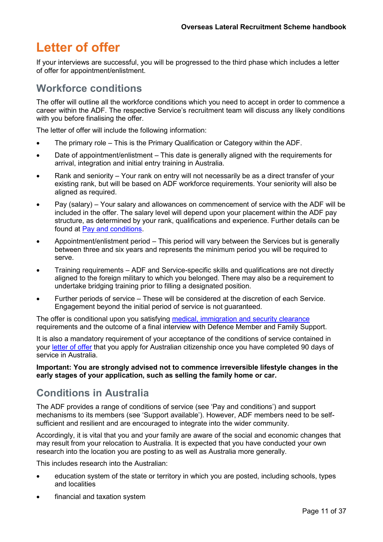## <span id="page-10-0"></span>**Letter of offer**

If your interviews are successful, you will be progressed to the third phase which includes a letter of offer for appointment/enlistment.

### **Workforce conditions**

The offer will outline all the workforce conditions which you need to accept in order to commence a career within the ADF. The respective Service's recruitment team will discuss any likely conditions with you before finalising the offer.

The letter of offer will include the following information:

- The primary role This is the Primary Qualification or Category within the ADF.
- Date of appointment/enlistment This date is generally aligned with the requirements for arrival, integration and initial entry training in Australia.
- Rank and seniority Your rank on entry will not necessarily be as a direct transfer of your existing rank, but will be based on ADF workforce requirements. Your seniority will also be aligned as required.
- Pay (salary) Your salary and allowances on commencement of service with the ADF will be included in the offer. The salary level will depend upon your placement within the ADF pay structure, as determined by your rank, qualifications and experience. Further details can be found at Pay and [conditions.](#page-21-0)
- Appointment/enlistment period This period will vary between the Services but is generally between three and six years and represents the minimum period you will be required to serve.
- Training requirements ADF and Service-specific skills and qualifications are not directly aligned to the foreign military to which you belonged. There may also be a requirement to undertake bridging training prior to filling a designated position.
- Further periods of service These will be considered at the discretion of each Service. Engagement beyond the initial period of service is not guaranteed.

The offer is conditional upon you satisfying [medical, immigration and security clearance](#page-12-0) requirements and the outcome of a final interview with Defence Member and Family Support.

It is also a mandatory requirement of your acceptance of the conditions of service contained in your [letter of offer](#page-10-0) that you apply for Australian citizenship once you have completed 90 days of service in Australia.

#### **Important: You are strongly advised not to commence irreversible lifestyle changes in the early stages of your application, such as selling the family home or car.**

### **Conditions in Australia**

The ADF provides a range of conditions of service (see 'Pay and conditions') and support mechanisms to its members (see 'Support available'). However, ADF members need to be selfsufficient and resilient and are encouraged to integrate into the wider community.

Accordingly, it is vital that you and your family are aware of the social and economic changes that may result from your relocation to Australia. It is expected that you have conducted your own research into the location you are posting to as well as Australia more generally.

This includes research into the Australian:

- education system of the state or territory in which you are posted, including schools, types and localities
- financial and taxation system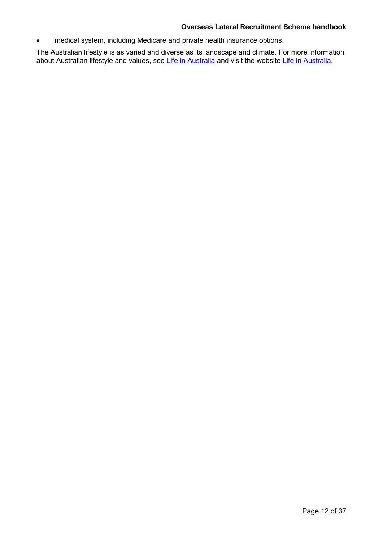#### **Overseas Lateral Recruitment Scheme handbook**

• medical system, including Medicare and private health insurance options.

The Australian lifestyle is as varied and diverse as its landscape and climate. For more information about Australian lifestyle and values, see [Life in Australia](#page-25-0) and visit the website [Life in Australia.](http://www.border.gov.au/Trav/Life)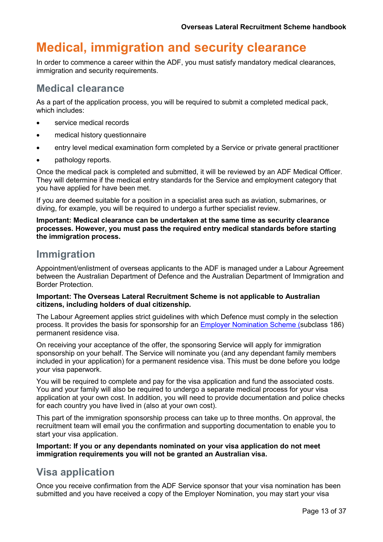## <span id="page-12-0"></span>**Medical, immigration and security clearance**

In order to commence a career within the ADF, you must satisfy mandatory medical clearances, immigration and security requirements.

### **Medical clearance**

As a part of the application process, you will be required to submit a completed medical pack, which includes:

- service medical records
- medical history questionnaire
- entry level medical examination form completed by a Service or private general practitioner
- pathology reports.

Once the medical pack is completed and submitted, it will be reviewed by an ADF Medical Officer. They will determine if the medical entry standards for the Service and employment category that you have applied for have been met.

If you are deemed suitable for a position in a specialist area such as aviation, submarines, or diving, for example, you will be required to undergo a further specialist review.

**Important: Medical clearance can be undertaken at the same time as security clearance processes. However, you must pass the required entry medical standards before starting the immigration process.**

### **Immigration**

Appointment/enlistment of overseas applicants to the ADF is managed under a Labour Agreement between the Australian Department of Defence and the Australian Department of Immigration and Border Protection.

#### **Important: The Overseas Lateral Recruitment Scheme is not applicable to Australian citizens, including holders of dual citizenship.**

The Labour Agreement applies strict guidelines with which Defence must comply in the selection process. It provides the basis for sponsorship for an [Employer Nomination Scheme \(subclass 186\)](http://www.border.gov.au/Trav/Visa-1/186-) permanent residence visa.

On receiving your acceptance of the offer, the sponsoring Service will apply for immigration sponsorship on your behalf. The Service will nominate you (and any dependant family members included in your application) for a permanent residence visa. This must be done before you lodge your visa paperwork.

You will be required to complete and pay for the visa application and fund the associated costs. You and your family will also be required to undergo a separate medical process for your visa application at your own cost. In addition, you will need to provide documentation and police checks for each country you have lived in (also at your own cost).

This part of the immigration sponsorship process can take up to three months. On approval, the recruitment team will email you the confirmation and supporting documentation to enable you to start your visa application.

**Important: If you or any dependants nominated on your visa application do not meet immigration requirements you will not be granted an Australian visa.**

### **Visa application**

Once you receive confirmation from the ADF Service sponsor that your visa nomination has been submitted and you have received a copy of the Employer Nomination, you may start your visa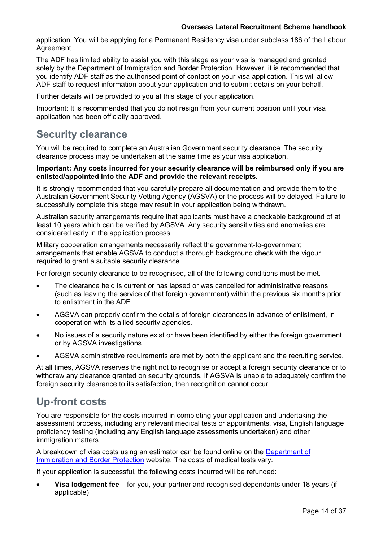application. You will be applying for a Permanent Residency visa under subclass 186 of the Labour Agreement.

The ADF has limited ability to assist you with this stage as your visa is managed and granted solely by the Department of Immigration and Border Protection. However, it is recommended that you identify ADF staff as the authorised point of contact on your visa application. This will allow ADF staff to request information about your application and to submit details on your behalf.

Further details will be provided to you at this stage of your application.

Important: It is recommended that you do not resign from your current position until your visa application has been officially approved.

### **Security clearance**

You will be required to complete an Australian Government security clearance. The security clearance process may be undertaken at the same time as your visa application.

#### **Important: Any costs incurred for your security clearance will be reimbursed only if you are enlisted/appointed into the ADF and provide the relevant receipts.**

It is strongly recommended that you carefully prepare all documentation and provide them to the Australian Government Security Vetting Agency (AGSVA) or the process will be delayed. Failure to successfully complete this stage may result in your application being withdrawn.

Australian security arrangements require that applicants must have a checkable background of at least 10 years which can be verified by AGSVA. Any security sensitivities and anomalies are considered early in the application process.

Military cooperation arrangements necessarily reflect the government-to-government arrangements that enable AGSVA to conduct a thorough background check with the vigour required to grant a suitable security clearance.

For foreign security clearance to be recognised, all of the following conditions must be met.

- The clearance held is current or has lapsed or was cancelled for administrative reasons (such as leaving the service of that foreign government) within the previous six months prior to enlistment in the ADF.
- AGSVA can properly confirm the details of foreign clearances in advance of enlistment, in cooperation with its allied security agencies.
- No issues of a security nature exist or have been identified by either the foreign government or by AGSVA investigations.
- AGSVA administrative requirements are met by both the applicant and the recruiting service.

At all times, AGSVA reserves the right not to recognise or accept a foreign security clearance or to withdraw any clearance granted on security grounds. If AGSVA is unable to adequately confirm the foreign security clearance to its satisfaction, then recognition cannot occur.

### **Up-front costs**

You are responsible for the costs incurred in completing your application and undertaking the assessment process, including any relevant medical tests or appointments, visa, English language proficiency testing (including any English language assessments undertaken) and other immigration matters.

A breakdown of visa costs using an estimator can be found online on the [Department of](https://www.border.gov.au/Trav/Visa/Fees) [Immigration and Border Protection](https://www.border.gov.au/Trav/Visa/Fees) website. The costs of medical tests vary.

If your application is successful, the following costs incurred will be refunded:

• **Visa lodgement fee** – for you, your partner and recognised dependants under 18 years (if applicable)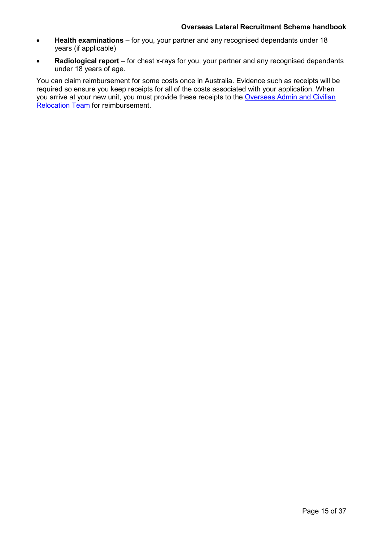- **Health examinations** for you, your partner and any recognised dependants under 18 years (if applicable)
- **Radiological report** for chest x-rays for you, your partner and any recognised dependants under 18 years of age.

You can claim reimbursement for some costs once in Australia. Evidence such as receipts will be required so ensure you keep receipts for all of the costs associated with your application. When you arrive at your new unit, you must provide these receipts to the [Overseas Admin and Civilian](http://www.defence.gov.au/OAT/lateral-recruits/after-arrival.asp) [Relocation Team](http://www.defence.gov.au/OAT/lateral-recruits/after-arrival.asp) for reimbursement.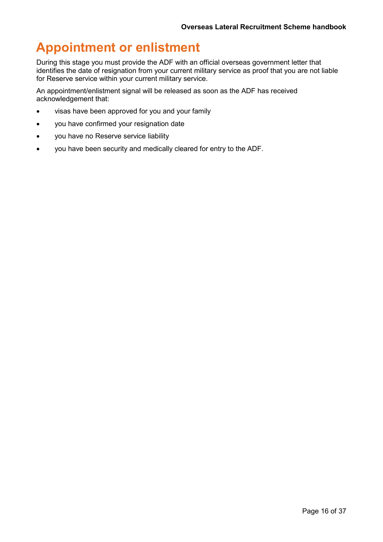## <span id="page-15-0"></span>**Appointment or enlistment**

During this stage you must provide the ADF with an official overseas government letter that identifies the date of resignation from your current military service as proof that you are not liable for Reserve service within your current military service.

An appointment/enlistment signal will be released as soon as the ADF has received acknowledgement that:

- visas have been approved for you and your family
- you have confirmed your resignation date
- you have no Reserve service liability
- you have been security and medically cleared for entry to the ADF.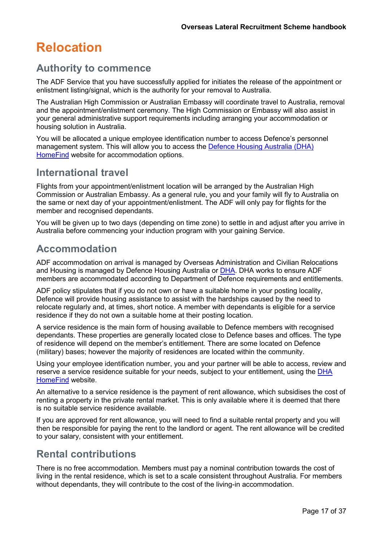## <span id="page-16-0"></span>**Relocation**

### **Authority to commence**

The ADF Service that you have successfully applied for initiates the release of the appointment or enlistment listing/signal, which is the authority for your removal to Australia.

The Australian High Commission or Australian Embassy will coordinate travel to Australia, removal and the appointment/enlistment ceremony. The High Commission or Embassy will also assist in your general administrative support requirements including arranging your accommodation or housing solution in Australia.

You will be allocated a unique employee identification number to access Defence's personnel management system. This will allow you to access the [Defence Housing Australia \(DHA\)](https://www.dha.gov.au/housing/service-residences/step-2-find-a-property) [HomeFind](https://www.dha.gov.au/housing/service-residences/step-2-find-a-property) website for accommodation options.

### **International travel**

Flights from your appointment/enlistment location will be arranged by the Australian High Commission or Australian Embassy. As a general rule, you and your family will fly to Australia on the same or next day of your appointment/enlistment. The ADF will only pay for flights for the member and recognised dependants.

You will be given up to two days (depending on time zone) to settle in and adjust after you arrive in Australia before commencing your induction program with your gaining Service.

### **Accommodation**

ADF accommodation on arrival is managed by Overseas Administration and Civilian Relocations and Housing is managed by Defence Housing Australia or [DHA.](http://www.dha.gov.au/) DHA works to ensure ADF members are accommodated according to Department of Defence requirements and entitlements.

ADF policy stipulates that if you do not own or have a suitable home in your posting locality, Defence will provide housing assistance to assist with the hardships caused by the need to relocate regularly and, at times, short notice. A member with dependants is eligible for a service residence if they do not own a suitable home at their posting location.

A service residence is the main form of housing available to Defence members with recognised dependants. These properties are generally located close to Defence bases and offices. The type of residence will depend on the member's entitlement. There are some located on Defence (military) bases; however the majority of residences are located within the community.

Using your employee identification number, you and your partner will be able to access, review and reserve a service residence suitable for your needs, subject to your entitlement, using the [DHA](https://www.dha.gov.au/housing/service-residences/step-2-find-a-property) [HomeFind](https://www.dha.gov.au/housing/service-residences/step-2-find-a-property) website.

An alternative to a service residence is the payment of rent allowance, which subsidises the cost of renting a property in the private rental market. This is only available where it is deemed that there is no suitable service residence available.

If you are approved for rent allowance, you will need to find a suitable rental property and you will then be responsible for paying the rent to the landlord or agent. The rent allowance will be credited to your salary, consistent with your entitlement.

### **Rental contributions**

There is no free accommodation. Members must pay a nominal contribution towards the cost of living in the rental residence, which is set to a scale consistent throughout Australia. For members without dependants, they will contribute to the cost of the living-in accommodation.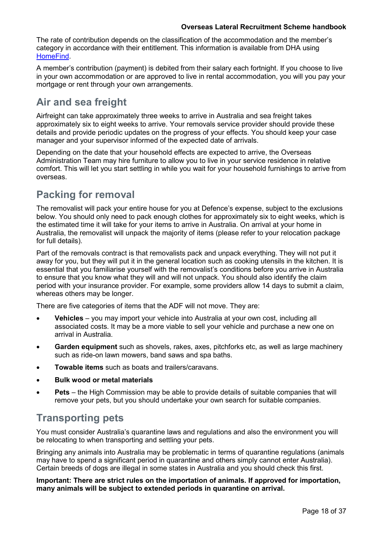The rate of contribution depends on the classification of the accommodation and the member's category in accordance with their entitlement. This information is available from DHA using [HomeFind.](https://online.dha.gov.au/)

A member's contribution (payment) is debited from their salary each fortnight. If you choose to live in your own accommodation or are approved to live in rental accommodation, you will you pay your mortgage or rent through your own arrangements.

## **Air and sea freight**

Airfreight can take approximately three weeks to arrive in Australia and sea freight takes approximately six to eight weeks to arrive. Your removals service provider should provide these details and provide periodic updates on the progress of your effects. You should keep your case manager and your supervisor informed of the expected date of arrivals.

Depending on the date that your household effects are expected to arrive, the Overseas Administration Team may hire furniture to allow you to live in your service residence in relative comfort. This will let you start settling in while you wait for your household furnishings to arrive from overseas.

### **Packing for removal**

The removalist will pack your entire house for you at Defence's expense, subject to the exclusions below. You should only need to pack enough clothes for approximately six to eight weeks, which is the estimated time it will take for your items to arrive in Australia. On arrival at your home in Australia, the removalist will unpack the majority of items (please refer to your relocation package for full details).

Part of the removals contract is that removalists pack and unpack everything. They will not put it away for you, but they will put it in the general location such as cooking utensils in the kitchen. It is essential that you familiarise yourself with the removalist's conditions before you arrive in Australia to ensure that you know what they will and will not unpack. You should also identify the claim period with your insurance provider. For example, some providers allow 14 days to submit a claim, whereas others may be longer.

There are five categories of items that the ADF will not move. They are:

- **Vehicles**  you may import your vehicle into Australia at your own cost, including all associated costs. It may be a more viable to sell your vehicle and purchase a new one on arrival in Australia.
- **Garden equipment** such as shovels, rakes, axes, pitchforks etc, as well as large machinery such as ride-on lawn mowers, band saws and spa baths.
- **Towable items** such as boats and trailers/caravans.
- **Bulk wood or metal materials**
- **Pets**  the High Commission may be able to provide details of suitable companies that will remove your pets, but you should undertake your own search for suitable companies.

### **Transporting pets**

You must consider Australia's quarantine laws and regulations and also the environment you will be relocating to when transporting and settling your pets.

Bringing any animals into Australia may be problematic in terms of quarantine regulations (animals may have to spend a significant period in quarantine and others simply cannot enter Australia). Certain breeds of dogs are illegal in some states in Australia and you should check this first.

**Important: There are strict rules on the importation of animals. If approved for importation, many animals will be subject to extended periods in quarantine on arrival.**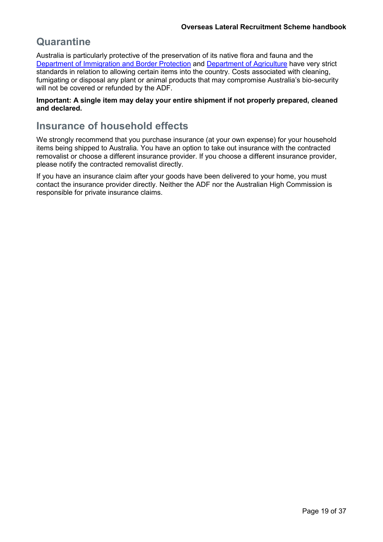## **Quarantine**

Australia is particularly protective of the preservation of its native flora and fauna and the [Department of Immigration and Border Protection](https://www.border.gov.au/Trav/Ente/Brin) and [Department of Agriculture](http://www.agriculture.gov.au/biosecurity) have very strict standards in relation to allowing certain items into the country. Costs associated with cleaning, fumigating or disposal any plant or animal products that may compromise Australia's bio-security will not be covered or refunded by the ADF.

#### **Important: A single item may delay your entire shipment if not properly prepared, cleaned and declared.**

### **Insurance of household effects**

We strongly recommend that you purchase insurance (at your own expense) for your household items being shipped to Australia. You have an option to take out insurance with the contracted removalist or choose a different insurance provider. If you choose a different insurance provider, please notify the contracted removalist directly.

If you have an insurance claim after your goods have been delivered to your home, you must contact the insurance provider directly. Neither the ADF nor the Australian High Commission is responsible for private insurance claims.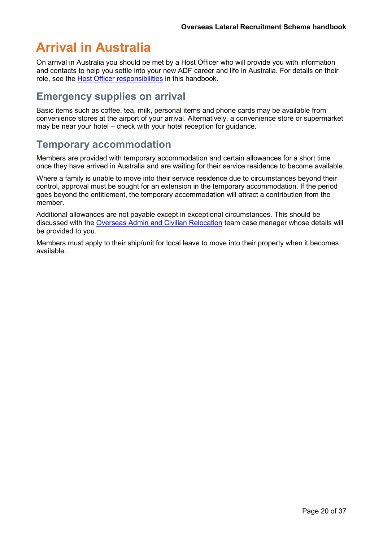## <span id="page-19-0"></span>**Arrival in Australia**

On arrival in Australia you should be met by a Host Officer who will provide you with information and contacts to help you settle into your new ADF career and life in Australia. For details on their role, see the [Host Officer responsibilities](#page-34-0) in this handbook.

### **Emergency supplies on arrival**

Basic items such as coffee, tea, milk, personal items and phone cards may be available from convenience stores at the airport of your arrival. Alternatively, a convenience store or supermarket may be near your hotel – check with your hotel reception for guidance.

### **Temporary accommodation**

Members are provided with temporary accommodation and certain allowances for a short time once they have arrived in Australia and are waiting for their service residence to become available.

Where a family is unable to move into their service residence due to circumstances beyond their control, approval must be sought for an extension in the temporary accommodation. If the period goes beyond the entitlement, the temporary accommodation will attract a contribution from the member.

Additional allowances are not payable except in exceptional circumstances. This should be discussed with the [Overseas Admin and Civilian Relocation](http://www.defence.gov.au/OAT/lateral-recruits/after-arrival.asp) team case manager whose details will be provided to you.

Members must apply to their ship/unit for local leave to move into their property when it becomes available.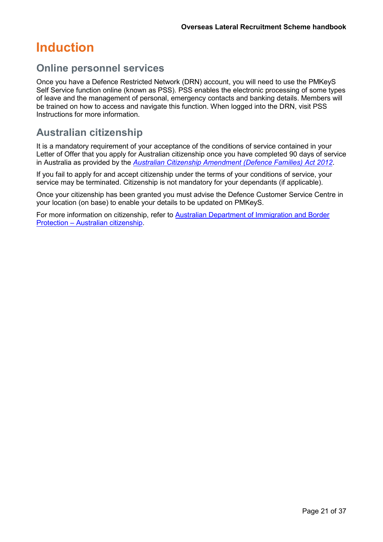## <span id="page-20-0"></span>**Induction**

### **Online personnel services**

Once you have a Defence Restricted Network (DRN) account, you will need to use the PMKeyS Self Service function online (known as PSS). PSS enables the electronic processing of some types of leave and the management of personal, emergency contacts and banking details. Members will be trained on how to access and navigate this function. When logged into the DRN, visit PSS Instructions for more information.

### **Australian citizenship**

It is a mandatory requirement of your acceptance of the conditions of service contained in your Letter of Offer that you apply for Australian citizenship once you have completed 90 days of service in Australia as provided by the *[Australian Citizenship Amendment \(Defence Families\) Act 2012](https://www.comlaw.gov.au/Details/C2012A00119)*.

If you fail to apply for and accept citizenship under the terms of your conditions of service, your service may be terminated. Citizenship is not mandatory for your dependants (if applicable).

Once your citizenship has been granted you must advise the Defence Customer Service Centre in your location (on base) to enable your details to be updated on PMKeyS.

For more information on citizenship, refer to **Australian Department of Immigration and Border** Protection – [Australian citizenship.](http://www.border.gov.au/Trav/Citi)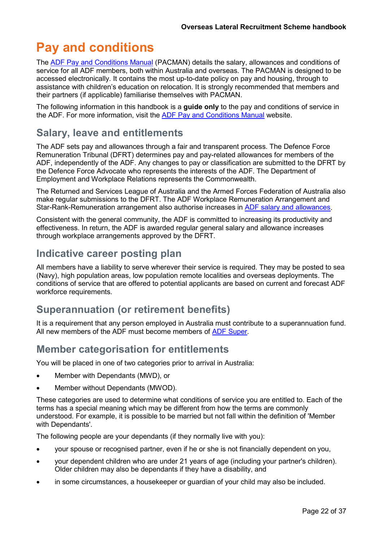## <span id="page-21-0"></span>**Pay and conditions**

The [ADF Pay and Conditions Manual](http://www.defence.gov.au/PayAndConditions/ADF/Chapter-1/Default.asp) (PACMAN) details the salary, allowances and conditions of service for all ADF members, both within Australia and overseas. The PACMAN is designed to be accessed electronically. It contains the most up-to-date policy on pay and housing, through to assistance with children's education on relocation. It is strongly recommended that members and their partners (if applicable) familiarise themselves with PACMAN.

The following information in this handbook is a **guide only** to the pay and conditions of service in the ADF. For more information, visit the [ADF Pay and Conditions Manual](http://www.defence.gov.au/PayAndConditions/) website.

### **Salary, leave and entitlements**

The ADF sets pay and allowances through a fair and transparent process. The Defence Force Remuneration Tribunal (DFRT) determines pay and pay-related allowances for members of the ADF, independently of the ADF. Any changes to pay or classification are submitted to the DFRT by the Defence Force Advocate who represents the interests of the ADF. The Department of Employment and Workplace Relations represents the Commonwealth.

The Returned and Services League of Australia and the Armed Forces Federation of Australia also make regular submissions to the DFRT. The ADF Workplace Remuneration Arrangement and Star-Rank-Remuneration arrangement also authorise increases in [ADF salary and allowances.](http://www.dfrt.gov.au/)

Consistent with the general community, the ADF is committed to increasing its productivity and effectiveness. In return, the ADF is awarded regular general salary and allowance increases through workplace arrangements approved by the DFRT.

### **Indicative career posting plan**

All members have a liability to serve wherever their service is required. They may be posted to sea (Navy), high population areas, low population remote localities and overseas deployments. The conditions of service that are offered to potential applicants are based on current and forecast ADF workforce requirements.

## **Superannuation (or retirement benefits)**

It is a requirement that any person employed in Australia must contribute to a superannuation fund. All new members of the ADF must become members of [ADF Super.](http://www.defence.gov.au/PayAndConditions/ADF/Super-ADF.asp)

### **Member categorisation for entitlements**

You will be placed in one of two categories prior to arrival in Australia:

- Member with Dependants (MWD), or
- Member without Dependants (MWOD).

These categories are used to determine what conditions of service you are entitled to. Each of the terms has a special meaning which may be different from how the terms are commonly understood. For example, it is possible to be married but not fall within the definition of 'Member with Dependants'.

The following people are your dependants (if they normally live with you):

- your spouse or recognised partner, even if he or she is not financially dependent on you,
- your dependent children who are under 21 years of age (including your partner's children). Older children may also be dependants if they have a disability, and
- in some circumstances, a housekeeper or guardian of your child may also be included.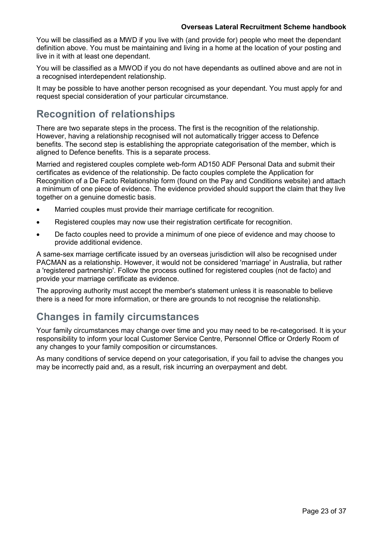You will be classified as a MWD if you live with (and provide for) people who meet the dependant definition above. You must be maintaining and living in a home at the location of your posting and live in it with at least one dependant.

You will be classified as a MWOD if you do not have dependants as outlined above and are not in a recognised interdependent relationship.

It may be possible to have another person recognised as your dependant. You must apply for and request special consideration of your particular circumstance.

### **Recognition of relationships**

There are two separate steps in the process. The first is the recognition of the relationship. However, having a relationship recognised will not automatically trigger access to Defence benefits. The second step is establishing the appropriate categorisation of the member, which is aligned to Defence benefits. This is a separate process.

Married and registered couples complete web-form AD150 ADF Personal Data and submit their certificates as evidence of the relationship. De facto couples complete the Application for Recognition of a De Facto Relationship form (found on the Pay and Conditions website) and attach a minimum of one piece of evidence. The evidence provided should support the claim that they live together on a genuine domestic basis.

- Married couples must provide their marriage certificate for recognition.
- Registered couples may now use their registration certificate for recognition.
- De facto couples need to provide a minimum of one piece of evidence and may choose to provide additional evidence.

A same-sex marriage certificate issued by an overseas jurisdiction will also be recognised under PACMAN as a relationship. However, it would not be considered 'marriage' in Australia, but rather a 'registered partnership'. Follow the process outlined for registered couples (not de facto) and provide your marriage certificate as evidence.

The approving authority must accept the member's statement unless it is reasonable to believe there is a need for more information, or there are grounds to not recognise the relationship.

### **Changes in family circumstances**

Your family circumstances may change over time and you may need to be re-categorised. It is your responsibility to inform your local Customer Service Centre, Personnel Office or Orderly Room of any changes to your family composition or circumstances.

As many conditions of service depend on your categorisation, if you fail to advise the changes you may be incorrectly paid and, as a result, risk incurring an overpayment and debt.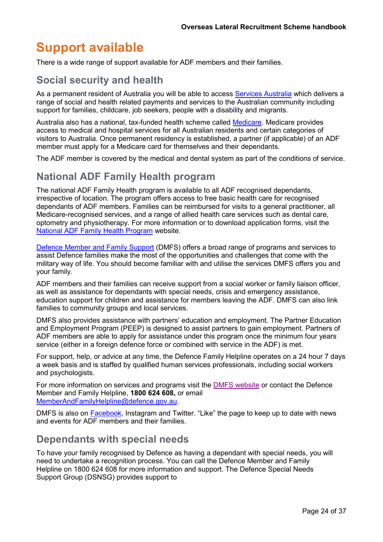## <span id="page-23-0"></span>**Support available**

There is a wide range of support available for ADF members and their families.

### **Social security and health**

As a permanent resident of Australia you will be able to access [Services Australia](https://www.servicesaustralia.gov.au/) which delivers a range of social and health related payments and services to the Australian community including support for families, childcare, job seekers, people with a disability and migrants.

Australia also has a national, tax-funded health scheme called [Medicare.](http://www.humanservices.gov.au/customer/subjects/medicare-services) Medicare provides access to medical and hospital services for all Australian residents and certain categories of visitors to Australia. Once permanent residency is established, a partner (if applicable) of an ADF member must apply for a Medicare card for themselves and their dependants.

The ADF member is covered by the medical and dental system as part of the conditions of service.

### **National ADF Family Health program**

The national ADF Family Health program is available to all ADF recognised dependants, irrespective of location. The program offers access to free basic health care for recognised dependants of ADF members. Families can be reimbursed for visits to a general practitioner, all Medicare-recognised services, and a range of allied health care services such as dental care, optometry and physiotherapy. For more information or to download application forms, [visit the](http://www.defence.gov.au/Health/SHC/DependantHealthcare/) National ADF Family Health Program [website.](http://www.defence.gov.au/Health/SHC/DependantHealthcare/)

[Defence Member and Family Support](http://www.defence.gov.au/dco/) (DMFS) offers a broad range of programs and services to assist Defence families make the most of the opportunities and challenges that come with the military way of life. You should become familiar with and utilise the services DMFS offers you and your family.

ADF members and their families can receive support from a social worker or family liaison officer, as well as assistance for dependants with special needs, crisis and emergency assistance, education support for children and assistance for members leaving the ADF. DMFS can also link families to community groups and local services.

DMFS also provides assistance with partners' education and employment. The Partner Education and Employment Program (PEEP) is designed to assist partners to gain employment. Partners of ADF members are able to apply for assistance under this program once the minimum four years service (either in a foreign defence force or combined with service in the ADF) is met.

For support, help, or advice at any time, the Defence Family Helpline operates on a 24 hour 7 days a week basis and is staffed by qualified human services professionals, including social workers and psychologists.

For more information on services and programs visit the [DMFS website](http://www.defence.gov.au/members-families) or contact the Defence Member and Family Helpline, **1800 624 608,** or email [MemberAndFamilyHelpline@defence.gov.au.](mailto:MemberAndFamilyHelpline@defence.gov.au)

DMFS is also on [Facebook, Instagram](http://www.facebook.com/DefenceMemberFamilySupport) and Twitter, "Like" the page to keep up to date with news and events for ADF members and their families.

### **Dependants with special needs**

To have your family recognised by Defence as having a dependant with special needs, you will need to undertake a recognition process. You can call the Defence Member and Family Helpline on 1800 624 608 for more information and support. The Defence Special Needs Support Group (DSNSG) provides support to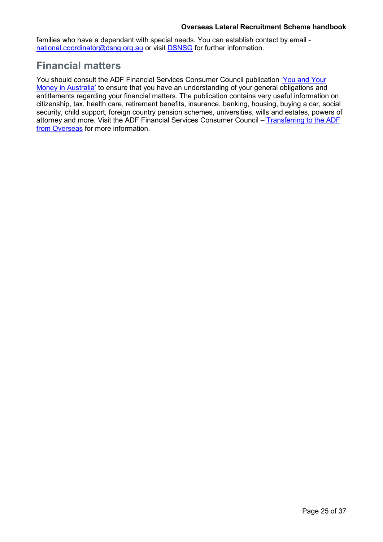#### **Overseas Lateral Recruitment Scheme handbook**

families who have a dependant with special needs. You can establish contact by email [national.coordinator@dsng.org.au](mailto:national.coordinator@dsng.org.au) or visit [DSNSG](http://dsnsg.org.au/) for further information.

### **Financial matters**

You should consult the ADF Financial Services Consumer Council publication ['You and Your](http://adfconsumer.gov.au/adf_publication/transferring-to-the-australian-defence-force-from-overseas/) [Money in Australia'](http://adfconsumer.gov.au/adf_publication/transferring-to-the-australian-defence-force-from-overseas/) to ensure that you have an understanding of your general obligations and entitlements regarding your financial matters. The publication contains very useful information on citizenship, tax, health care, retirement benefits, insurance, banking, housing, buying a car, social security, child support, foreign country pension schemes, universities, wills and estates, powers of attorney and more. Visit the ADF Financial Services Consumer Council – [Transferring to the ADF](http://adfconsumer.gov.au/adf_publication/transferring-to-the-australian-defence-force-from-overseas/) [from Overseas](http://adfconsumer.gov.au/adf_publication/transferring-to-the-australian-defence-force-from-overseas/) for more information.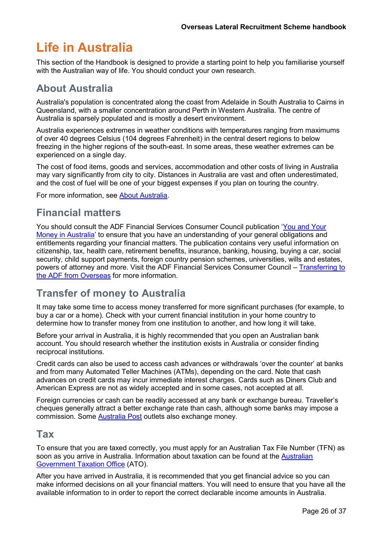## <span id="page-25-0"></span>**Life in Australia**

This section of the Handbook is designed to provide a starting point to help you familiarise yourself with the Australian way of life. You should conduct your own research.

### **About Australia**

Australia's population is concentrated along the coast from Adelaide in South Australia to Cairns in Queensland, with a smaller concentration around Perth in Western Australia. The centre of Australia is sparsely populated and is mostly a desert environment.

Australia experiences extremes in weather conditions with temperatures ranging from maximums of over 40 degrees Celsius (104 degrees Fahrenheit) in the central desert regions to below freezing in the higher regions of the south-east. In some areas, these weather extremes can be experienced on a single day.

The cost of food items, goods and services, accommodation and other costs of living in Australia may vary significantly from city to city. Distances in Australia are vast and often underestimated, and the cost of fuel will be one of your biggest expenses if you plan on touring the country.

For more information, see [About Australia.](http://www.australia.gov.au/about-australia)

### **Financial matters**

You should consult the ADF Financial Services Consumer Council publication ['You and Your](http://adfconsumer.gov.au/adf_publication/transferring-to-the-australian-defence-force-from-overseas/) [Money in Australia'](http://adfconsumer.gov.au/adf_publication/transferring-to-the-australian-defence-force-from-overseas/) to ensure that you have an understanding of your general obligations and entitlements regarding your financial matters. The publication contains very useful information on citizenship, tax, health care, retirement benefits, insurance, banking, housing, buying a car, social security, child support payments, foreign country pension schemes, universities, wills and estates, powers of attorney and more. Visit the ADF Financial Services Consumer Council – [Transferring to](http://adfconsumer.gov.au/adf_publication/transferring-to-the-australian-defence-force-from-overseas/) [the ADF from Overseas](http://adfconsumer.gov.au/adf_publication/transferring-to-the-australian-defence-force-from-overseas/) for more information.

### **Transfer of money to Australia**

It may take some time to access money transferred for more significant purchases (for example, to buy a car or a home). Check with your current financial institution in your home country to determine how to transfer money from one institution to another, and how long it will take.

Before your arrival in Australia, it is highly recommended that you open an Australian bank account. You should research whether the institution exists in Australia or consider finding reciprocal institutions.

Credit cards can also be used to access cash advances or withdrawals 'over the counter' at banks and from many Automated Teller Machines (ATMs), depending on the card. Note that cash advances on credit cards may incur immediate interest charges. Cards such as Diners Club and American Express are not as widely accepted and in some cases, not accepted at all.

Foreign currencies or cash can be readily accessed at any bank or exchange bureau. Traveller's cheques generally attract a better exchange rate than cash, although some banks may impose a commission. Some [Australia Post](http://australiapost.com.au/) outlets also exchange money.

### **Tax**

To ensure that you are taxed correctly, you must apply for an Australian Tax File Number (TFN) as soon as you arrive in Australia. Information about taxation can be found at the [Australian](https://www.ato.gov.au/) [Government Taxation Office](https://www.ato.gov.au/) (ATO).

After you have arrived in Australia, it is recommended that you get financial advice so you can make informed decisions on all your financial matters. You will need to ensure that you have all the available information to in order to report the correct declarable income amounts in Australia.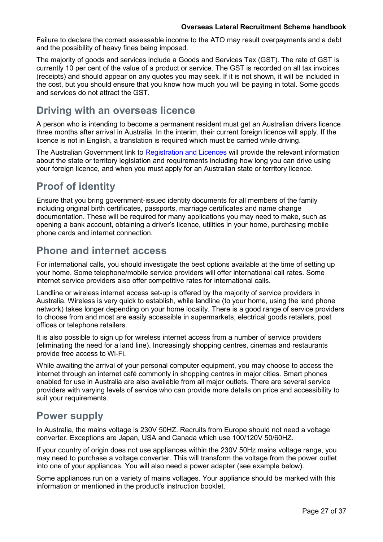Failure to declare the correct assessable income to the ATO may result overpayments and a debt and the possibility of heavy fines being imposed.

The majority of goods and services include a Goods and Services Tax (GST). The rate of GST is currently 10 per cent of the value of a product or service. The GST is recorded on all tax invoices (receipts) and should appear on any quotes you may seek. If it is not shown, it will be included in the cost, but you should ensure that you know how much you will be paying in total. Some goods and services do not attract the GST.

### **Driving with an overseas licence**

A person who is intending to become a permanent resident must get an Australian drivers licence three months after arrival in Australia. In the interim, their current foreign licence will apply. If the licence is not in English, a translation is required which must be carried while driving.

The Australian Government link to [Registration and Licences](http://www.australia.gov.au/information-and-services/transport-and-regional/registration-and-licences) will provide the relevant information about the state or territory legislation and requirements including how long you can drive using your foreign licence, and when you must apply for an Australian state or territory licence.

## **Proof of identity**

Ensure that you bring government-issued identity documents for all members of the family including original birth certificates, passports, marriage certificates and name change documentation. These will be required for many applications you may need to make, such as opening a bank account, obtaining a driver's licence, utilities in your home, purchasing mobile phone cards and internet connection.

### **Phone and internet access**

For international calls, you should investigate the best options available at the time of setting up your home. Some telephone/mobile service providers will offer international call rates. Some internet service providers also offer competitive rates for international calls.

Landline or wireless internet access set-up is offered by the majority of service providers in Australia. Wireless is very quick to establish, while landline (to your home, using the land phone network) takes longer depending on your home locality. There is a good range of service providers to choose from and most are easily accessible in supermarkets, electrical goods retailers, post offices or telephone retailers.

It is also possible to sign up for wireless internet access from a number of service providers (eliminating the need for a land line). Increasingly shopping centres, cinemas and restaurants provide free access to Wi-Fi.

While awaiting the arrival of your personal computer equipment, you may choose to access the internet through an internet café commonly in shopping centres in major cities. Smart phones enabled for use in Australia are also available from all major outlets. There are several service providers with varying levels of service who can provide more details on price and accessibility to suit your requirements.

### **Power supply**

In Australia, the mains voltage is 230V 50HZ. Recruits from Europe should not need a voltage converter. Exceptions are Japan, USA and Canada which use 100/120V 50/60HZ.

If your country of origin does not use appliances within the 230V 50Hz mains voltage range, you may need to purchase a voltage converter. This will transform the voltage from the power outlet into one of your appliances. You will also need a power adapter (see example below).

Some appliances run on a variety of mains voltages. Your appliance should be marked with this information or mentioned in the product's instruction booklet.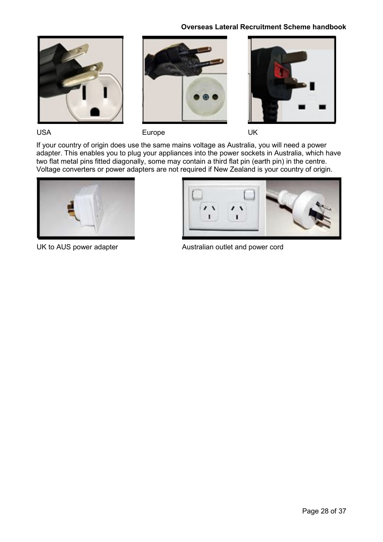#### **Overseas Lateral Recruitment Scheme handbook**







USA Europe UK

If your country of origin does use the same mains voltage as Australia, you will need a power adapter. This enables you to plug your appliances into the power sockets in Australia, which have two flat metal pins fitted diagonally, some may contain a third flat pin (earth pin) in the centre. Voltage converters or power adapters are not required if New Zealand is your country of origin.





UK to AUS power adapter **Australian outlet and power cord**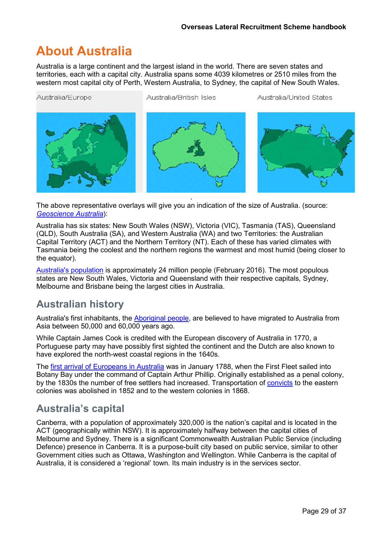## <span id="page-28-0"></span>**About Australia**

Australia is a large continent and the largest island in the world. There are seven states and territories, each with a capital city. Australia spans some 4039 kilometres or 2510 miles from the western most capital city of Perth, Western Australia, to Sydney, the capital of New South Wales.

Australia/Europe

Australia/British Isles

Australia/United States



The above representative overlays will give you an indication of the size of Australia. (source: *[Geoscience Australia](http://www.ga.gov.au/scientific-topics/national-location-information/dimensions/australias-size-compared)*):

Australia has six states: New South Wales (NSW), Victoria (VIC), Tasmania (TAS), Queensland (QLD), South Australia (SA), and Western Australia (WA) and two Territories: the Australian Capital Territory (ACT) and the Northern Territory (NT). Each of these has varied climates with Tasmania being the coolest and the northern regions the warmest and most humid (being closer to the equator).

[Australia's population](http://www.abs.gov.au/ausstats/abs%40.nsf/94713ad445ff1425ca25682000192af2/1647509ef7e25faaca2568a900154b63?OpenDocument) is approximately 24 million people (February 2016). The most populous states are New South Wales, Victoria and Queensland with their respective capitals, Sydney, Melbourne and Brisbane being the largest cities in Australia.

### **Australian history**

Australia's first inhabitants, the [Aboriginal people,](http://www.australia.gov.au/about-australia/australian-stories/indigenous-arts-culture-and-heritage) are believed to have migrated to Australia from Asia between 50,000 and 60,000 years ago.

While Captain James Cook is credited with the European discovery of Australia in 1770, a Portuguese party may have possibly first sighted the continent and the Dutch are also known to have explored the north-west coastal regions in the 1640s.

The [first arrival of Europeans in Australia](http://www.australia.gov.au/about-australia/australian-story/european-discovery-and-colonisation) was in January 1788, when the First Fleet sailed into Botany Bay under the command of Captain Arthur Phillip. Originally established as a penal colony, by the 1830s the number of free settlers had increased. Transportation of [convicts](http://www.australia.gov.au/about-australia/australian-story/convicts-and-the-british-colonies) to the eastern colonies was abolished in 1852 and to the western colonies in 1868.

### **Australia's capital**

Canberra, with a population of approximately 320,000 is the nation's capital and is located in the ACT (geographically within NSW). It is approximately halfway between the capital cities of Melbourne and Sydney. There is a significant Commonwealth Australian Public Service (including Defence) presence in Canberra. It is a purpose-built city based on public service, similar to other Government cities such as Ottawa, Washington and Wellington. While Canberra is the capital of Australia, it is considered a 'regional' town. Its main industry is in the services sector.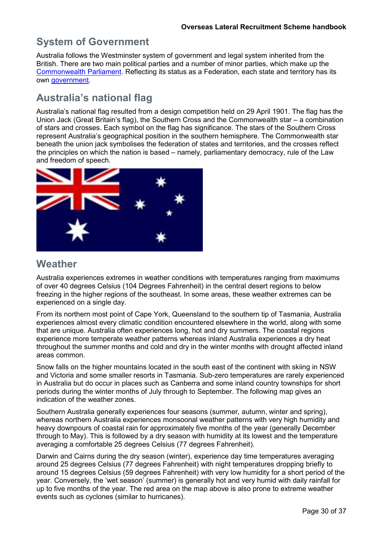### **System of Government**

Australia follows the Westminster system of government and legal system inherited from the British. There are two main political parties and a number of minor parties, which make up the [Commonwealth Parliament.](http://www.aph.gov.au/About_Parliament/Work_of_the_Parliament/Forming_and_Governing_a_Nation/parl) Reflecting its status as a Federation, each state and territory has its own [government.](http://www.australia.gov.au/about-australia/our-government/state-and-territory-government)

## **Australia's national flag**

Australia's national flag resulted from a design competition held on 29 April 1901. The flag has the Union Jack (Great Britain's flag), the Southern Cross and the Commonwealth star – a combination of stars and crosses. Each symbol on the flag has significance. The stars of the Southern Cross represent Australia's geographical position in the southern hemisphere. The Commonwealth star beneath the union jack symbolises the federation of states and territories, and the crosses reflect the principles on which the nation is based – namely, parliamentary democracy, rule of the Law and freedom of speech.



### **Weather**

Australia experiences extremes in weather conditions with temperatures ranging from maximums of over 40 degrees Celsius (104 Degrees Fahrenheit) in the central desert regions to below freezing in the higher regions of the southeast. In some areas, these weather extremes can be experienced on a single day.

From its northern most point of Cape York, Queensland to the southern tip of Tasmania, Australia experiences almost every climatic condition encountered elsewhere in the world, along with some that are unique. Australia often experiences long, hot and dry summers. The coastal regions experience more temperate weather patterns whereas inland Australia experiences a dry heat throughout the summer months and cold and dry in the winter months with drought affected inland areas common.

Snow falls on the higher mountains located in the south east of the continent with skiing in NSW and Victoria and some smaller resorts in Tasmania. Sub-zero temperatures are rarely experienced in Australia but do occur in places such as Canberra and some inland country townships for short periods during the winter months of July through to September. The following map gives an indication of the weather zones.

Southern Australia generally experiences four seasons (summer, autumn, winter and spring), whereas northern Australia experiences monsoonal weather patterns with very high humidity and heavy downpours of coastal rain for approximately five months of the year (generally December through to May). This is followed by a dry season with humidity at its lowest and the temperature averaging a comfortable 25 degrees Celsius (77 degrees Fahrenheit).

Darwin and Cairns during the dry season (winter), experience day time temperatures averaging around 25 degrees Celsius (77 degrees Fahrenheit) with night temperatures dropping briefly to around 15 degrees Celsius (59 degrees Fahrenheit) with very low humidity for a short period of the year. Conversely, the 'wet season' (summer) is generally hot and very humid with daily rainfall for up to five months of the year. The red area on the map above is also prone to extreme weather events such as cyclones (similar to hurricanes).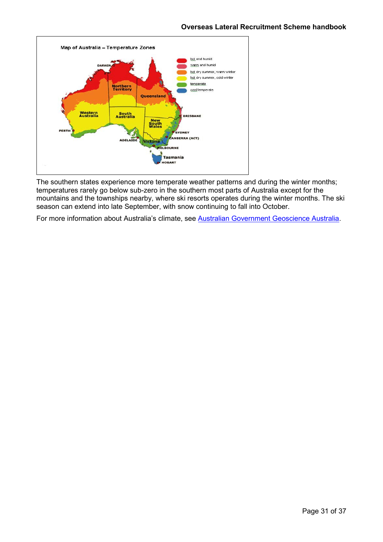

The southern states experience more temperate weather patterns and during the winter months; temperatures rarely go below sub-zero in the southern most parts of Australia except for the mountains and the townships nearby, where ski resorts operates during the winter months. The ski season can extend into late September, with snow continuing to fall into October.

For more information about Australia's climate, see [Australian Government Geoscience Australia.](http://www.ga.gov.au/about)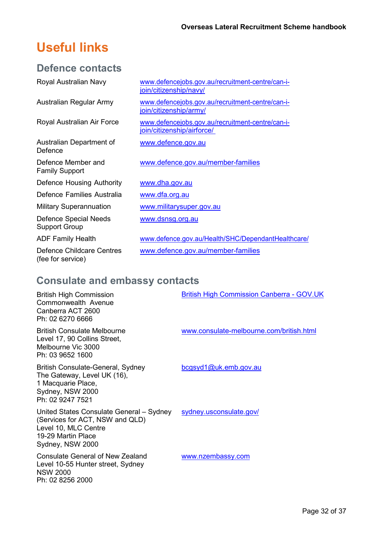## <span id="page-31-0"></span>**Useful links**

### **Defence contacts**

| Royal Australian Navy                          | www.defencejobs.gov.au/recruitment-centre/can-i-<br>join/citizenship/navy/     |
|------------------------------------------------|--------------------------------------------------------------------------------|
| Australian Regular Army                        | www.defencejobs.gov.au/recruitment-centre/can-i-<br>join/citizenship/army/     |
| Royal Australian Air Force                     | www.defencejobs.gov.au/recruitment-centre/can-i-<br>join/citizenship/airforce/ |
| Australian Department of<br>Defence            | www.defence.gov.au                                                             |
| Defence Member and<br><b>Family Support</b>    | www.defence.gov.au/member-families                                             |
| Defence Housing Authority                      | www.dha.gov.au                                                                 |
| Defence Families Australia                     | www.dfa.org.au                                                                 |
| <b>Military Superannuation</b>                 | www.militarysuper.gov.au                                                       |
| Defence Special Needs<br><b>Support Group</b>  | <u>www.dsnsg.org.au</u>                                                        |
| <b>ADF Family Health</b>                       | www.defence.gov.au/Health/SHC/DependantHealthcare/                             |
| Defence Childcare Centres<br>(fee for service) | www.defence.gov.au/member-families                                             |

## **Consulate and embassy contacts**

NSW 2000

Ph: 02 8256 2000

| <b>British High Commission</b><br>Commonwealth Avenue<br>Canberra ACT 2600<br>Ph: 02 6270 6666                                                | <b>British High Commission Canberra - GOV.UK</b> |
|-----------------------------------------------------------------------------------------------------------------------------------------------|--------------------------------------------------|
| <b>British Consulate Melbourne</b><br>Level 17, 90 Collins Street,<br>Melbourne Vic 3000<br>Ph: 03 9652 1600                                  | www.consulate-melbourne.com/british.html         |
| British Consulate-General, Sydney<br>The Gateway, Level UK (16),<br>1 Macquarie Place,<br>Sydney, NSW 2000<br>Ph: 02 9247 7521                | bcgsyd1@uk.emb.gov.au                            |
| United States Consulate General - Sydney<br>(Services for ACT, NSW and QLD)<br>Level 10, MLC Centre<br>19-29 Martin Place<br>Sydney, NSW 2000 | sydney.usconsulate.gov/                          |
| Consulate General of New Zealand<br>Level 10-55 Hunter street, Sydney                                                                         | www.nzembassy.com                                |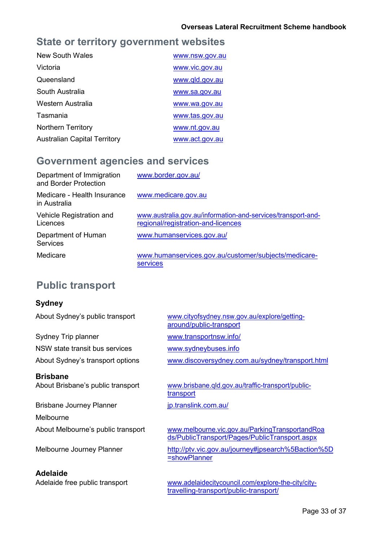### **State or territory government websites**

| New South Wales                     | www.nsw.gov.au |
|-------------------------------------|----------------|
| Victoria                            | www.vic.gov.au |
| Queensland                          | www.gld.gov.au |
| South Australia                     | www.sa.gov.au  |
| Western Australia                   | www.wa.gov.au  |
| Tasmania                            | www.tas.gov.au |
| <b>Northern Territory</b>           | www.nt.gov.au  |
| <b>Australian Capital Territory</b> | www.act.gov.au |

### **Government agencies and services**

| Department of Immigration<br>and Border Protection | www.border.gov.au/                                                                                 |
|----------------------------------------------------|----------------------------------------------------------------------------------------------------|
| Medicare - Health Insurance<br>in Australia        | www.medicare.gov.au                                                                                |
| Vehicle Registration and<br>Licences               | www.australia.gov.au/information-and-services/transport-and-<br>regional/registration-and-licences |
| Department of Human<br><b>Services</b>             | www.humanservices.gov.au/                                                                          |
| Medicare                                           | www.humanservices.gov.au/customer/subjects/medicare-<br><b>services</b>                            |

## **Public transport**

### **Sydney**

Sydney Trip planner [www.transportnsw.info/](http://www.transportnsw.info/) NSW state transit bus services [www.sydneybuses.info](http://www.sydneybuses.info/)

**Brisbane**

Brisbane Journey Planner in the state of p.translink.com.au/

Melbourne

**Adelaide**

About Sydney's public transport [www.cityofsydney.nsw.gov.au/explore/getting](http://www.cityofsydney.nsw.gov.au/explore/getting-around/public-transport)[around/public-transport](http://www.cityofsydney.nsw.gov.au/explore/getting-around/public-transport)

About Sydney's transport options [www.discoversydney.com.au/sydney/transport.html](http://www.discoversydney.com.au/sydney/transport.html)

About Brisbane's public transport [www.brisbane.qld.gov.au/traffic-transport/public](http://www.brisbane.qld.gov.au/traffic-transport/public-transport)[transport](http://www.brisbane.qld.gov.au/traffic-transport/public-transport)

About Melbourne's public transport [www.melbourne.vic.gov.au/ParkingTransportandRoa](http://www.melbourne.vic.gov.au/ParkingTransportandRoads/PublicTransport/Pages/PublicTransport.aspx) [ds/PublicTransport/Pages/PublicTransport.aspx](http://www.melbourne.vic.gov.au/ParkingTransportandRoads/PublicTransport/Pages/PublicTransport.aspx)

Melbourne Journey Planner [http://ptv.vic.gov.au/journey#jpsearch%5Baction%5D](http://ptv.vic.gov.au/journey#jpsearch%5Baction%5D%3DshowPlanner) [=showPlanner](http://ptv.vic.gov.au/journey#jpsearch%5Baction%5D%3DshowPlanner)

Adelaide free public transport [www.adelaidecitycouncil.com/explore-the-city/city](http://www.adelaidecitycouncil.com/explore-the-city/city-travelling-transport/public-transport/)[travelling-transport/public-transport/](http://www.adelaidecitycouncil.com/explore-the-city/city-travelling-transport/public-transport/)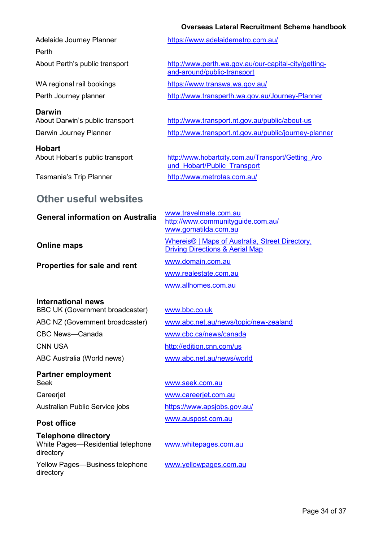#### **Overseas Lateral Recruitment Scheme handbook**

Perth

**Darwin**

**Hobart**

#### Adelaide Journey Planner <https://www.adelaidemetro.com.au/>

About Perth's public transport [http://www.perth.wa.gov.au/our-capital-city/getting](http://www.perth.wa.gov.au/our-capital-city/getting-and-around/public-transport)[and-around/public-transport](http://www.perth.wa.gov.au/our-capital-city/getting-and-around/public-transport)

WA regional rail bookings <https://www.transwa.wa.gov.au/>

Perth Journey planner <http://www.transperth.wa.gov.au/Journey-Planner>

About Darwin's public transport <http://www.transport.nt.gov.au/public/about-us> Darwin Journey Planner <http://www.transport.nt.gov.au/public/journey-planner>

About Hobart's public transport http://www.hobartcity.com.au/Transport/Getting Aro und Hobart/Public Transport Tasmania's Trip Planner <http://www.metrotas.com.au/>

### **Other useful websites**

## General information on Australia Www.travelmate.com.au

**Properties for sale and rent**

[www.gomatilda.com.au](http://www.gomatilda.com.au/) **Online maps** [Whereis® | Maps of Australia, Street Directory,](http://www.whereis.com/) [Driving Directions & Aerial Map](http://www.whereis.com/) [www.domain.com.au](http://www.domain.com.au/) [www.realestate.com.au](http://www.realestate.com.au/)

<http://www.communityguide.com.au/>

[www.allhomes.com.au](http://www.allhomes.com.au/)

#### **International news**

BBC UK (Government broadcaster) CBC News—Canada [www.cbc.ca/news/canada](http://www.cbc.ca/news/canada) CNN USA <http://edition.cnn.com/us> ABC Australia (World news) [www.abc.net.au/news/world](http://www.abc.net.au/news/world)

**Partner employment** Seek [www.seek.com.au](http://www.seek.com.au/) Careerjet **Careerist** WWW.careerjet.com.au

#### **Post office**

directory

**Telephone directory** White Pages—Residential telephone directory Yellow Pages—Business telephone

[www.bbc.co.uk](http://www.bbc.co.uk/) ABC NZ (Government broadcaster) [www.abc.net.au/news/topic/new-zealand](http://www.abc.net.au/news/topic/new-zealand)

Australian Public Service jobs <https://www.apsjobs.gov.au/> [www.auspost.com.au](http://www.auspost.com.au/)

[www.whitepages.com.au](http://www.whitepages.com.au/)

[www.yellowpages.com.au](http://www.yellowpages.com.au/)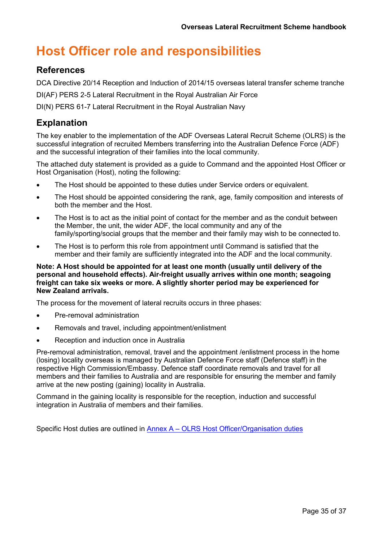## <span id="page-34-0"></span>**Host Officer role and responsibilities**

### **References**

DCA Directive 20/14 Reception and Induction of 2014/15 overseas lateral transfer scheme tranche

DI(AF) PERS 2-5 Lateral Recruitment in the Royal Australian Air Force

DI(N) PERS 61-7 Lateral Recruitment in the Royal Australian Navy

### **Explanation**

The key enabler to the implementation of the ADF Overseas Lateral Recruit Scheme (OLRS) is the successful integration of recruited Members transferring into the Australian Defence Force (ADF) and the successful integration of their families into the local community.

The attached duty statement is provided as a guide to Command and the appointed Host Officer or Host Organisation (Host), noting the following:

- The Host should be appointed to these duties under Service orders or equivalent.
- The Host should be appointed considering the rank, age, family composition and interests of both the member and the Host.
- The Host is to act as the initial point of contact for the member and as the conduit between the Member, the unit, the wider ADF, the local community and any of the family/sporting/social groups that the member and their family may wish to be connected to.
- The Host is to perform this role from appointment until Command is satisfied that the member and their family are sufficiently integrated into the ADF and the local community.

#### **Note: A Host should be appointed for at least one month (usually until delivery of the personal and household effects). Air-freight usually arrives within one month; seagoing freight can take six weeks or more. A slightly shorter period may be experienced for New Zealand arrivals.**

The process for the movement of lateral recruits occurs in three phases:

- Pre-removal administration
- Removals and travel, including appointment/enlistment
- Reception and induction once in Australia

Pre-removal administration, removal, travel and the appointment /enlistment process in the home (losing) locality overseas is managed by Australian Defence Force staff (Defence staff) in the respective High Commission/Embassy. Defence staff coordinate removals and travel for all members and their families to Australia and are responsible for ensuring the member and family arrive at the new posting (gaining) locality in Australia.

Command in the gaining locality is responsible for the reception, induction and successful integration in Australia of members and their families.

Specific Host duties are outlined in **Annex A – [OLRS Host Officer/Organisation duties](#page-35-0)**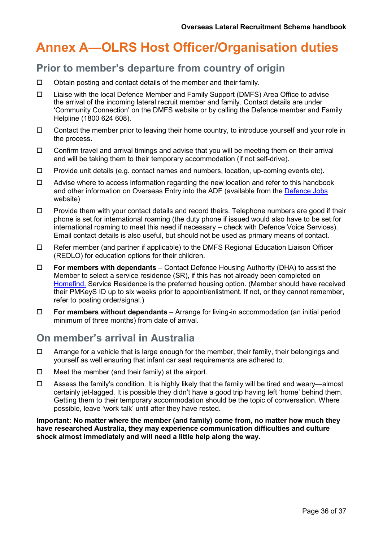## <span id="page-35-0"></span>**Annex A—OLRS Host Officer/Organisation duties**

### **Prior to member's departure from country of origin**

- $\Box$  Obtain posting and contact details of the member and their family.
- Liaise with the local Defence Member and Family Support (DMFS) Area Office to advise the arrival of the incoming lateral recruit member and family. Contact details are under 'Community Connection' on the DMFS website or by calling the Defence member and Family Helpline (1800 624 608).
- $\Box$  Contact the member prior to leaving their home country, to introduce yourself and your role in the process.
- $\Box$  Confirm travel and arrival timings and advise that you will be meeting them on their arrival and will be taking them to their temporary accommodation (if not self-drive).
- $\Box$  Provide unit details (e.g. contact names and numbers, location, up-coming events etc).
- $\Box$  Advise where to access information regarding the new location and refer to this handbook and other information on Overseas Entry into the ADF (available from the [Defence Jobs](http://www.defencejobs.gov.au/) website)
- $\Box$  Provide them with your contact details and record theirs. Telephone numbers are good if their phone is set for international roaming (the duty phone if issued would also have to be set for international roaming to meet this need if necessary – check with Defence Voice Services). Email contact details is also useful, but should not be used as primary means of contact.
- $\Box$  Refer member (and partner if applicable) to the DMFS Regional Education Liaison Officer (REDLO) for education options for their children.
- **For members with dependants**  Contact Defence Housing Authority (DHA) to assist the Member to select a service residence (SR), if this has not already been completed on [Homefind.](https://online.dha.gov.au/) Service Residence is the preferred housing option. (Member should have received their PMKeyS ID up to six weeks prior to appoint/enlistment. If not, or they cannot remember, refer to posting order/signal.)
- **For members without dependants**  Arrange for living-in accommodation (an initial period minimum of three months) from date of arrival.

### **On member's arrival in Australia**

- $\Box$  Arrange for a vehicle that is large enough for the member, their family, their belongings and yourself as well ensuring that infant car seat requirements are adhered to.
- $\Box$  Meet the member (and their family) at the airport.
- $\Box$  Assess the family's condition. It is highly likely that the family will be tired and weary—almost certainly jet-lagged. It is possible they didn't have a good trip having left 'home' behind them. Getting them to their temporary accommodation should be the topic of conversation. Where possible, leave 'work talk' until after they have rested.

**Important: No matter where the member (and family) come from, no matter how much they have researched Australia, they may experience communication difficulties and culture shock almost immediately and will need a little help along the way.**